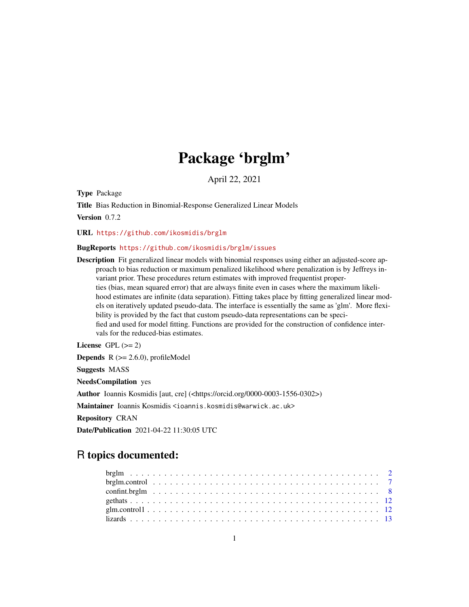# Package 'brglm'

April 22, 2021

<span id="page-0-0"></span>Type Package

Title Bias Reduction in Binomial-Response Generalized Linear Models Version 0.7.2

URL <https://github.com/ikosmidis/brglm>

#### BugReports <https://github.com/ikosmidis/brglm/issues>

Description Fit generalized linear models with binomial responses using either an adjusted-score approach to bias reduction or maximum penalized likelihood where penalization is by Jeffreys invariant prior. These procedures return estimates with improved frequentist properties (bias, mean squared error) that are always finite even in cases where the maximum likelihood estimates are infinite (data separation). Fitting takes place by fitting generalized linear models on iteratively updated pseudo-data. The interface is essentially the same as 'glm'. More flexibility is provided by the fact that custom pseudo-data representations can be specified and used for model fitting. Functions are provided for the construction of confidence intervals for the reduced-bias estimates.

License GPL  $(>= 2)$ **Depends**  $R$  ( $>= 2.6.0$ ), profileModel Suggests MASS NeedsCompilation yes Author Ioannis Kosmidis [aut, cre] (<https://orcid.org/0000-0003-1556-0302>) Maintainer Ioannis Kosmidis <ioannis.kosmidis@warwick.ac.uk> Repository CRAN Date/Publication 2021-04-22 11:30:05 UTC

# R topics documented: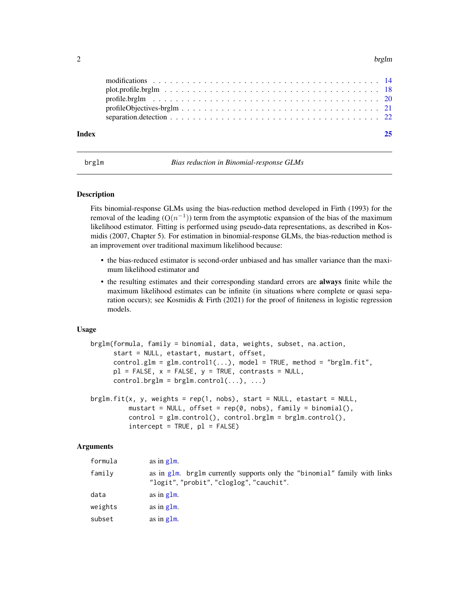#### <span id="page-1-0"></span> $2$  brglm

| Index |                                                                                                                    |  |  |  |  |  |  |  |  |  |  |  |  |  |  |  |
|-------|--------------------------------------------------------------------------------------------------------------------|--|--|--|--|--|--|--|--|--|--|--|--|--|--|--|
|       | separation. detection $\ldots \ldots \ldots \ldots \ldots \ldots \ldots \ldots \ldots \ldots \ldots \ldots \ldots$ |  |  |  |  |  |  |  |  |  |  |  |  |  |  |  |
|       |                                                                                                                    |  |  |  |  |  |  |  |  |  |  |  |  |  |  |  |

<span id="page-1-1"></span>

brglm *Bias reduction in Binomial-response GLMs*

#### <span id="page-1-2"></span>Description

Fits binomial-response GLMs using the bias-reduction method developed in Firth (1993) for the removal of the leading  $(O(n^{-1}))$  term from the asymptotic expansion of the bias of the maximum likelihood estimator. Fitting is performed using pseudo-data representations, as described in Kosmidis (2007, Chapter 5). For estimation in binomial-response GLMs, the bias-reduction method is an improvement over traditional maximum likelihood because:

- the bias-reduced estimator is second-order unbiased and has smaller variance than the maximum likelihood estimator and
- the resulting estimates and their corresponding standard errors are always finite while the maximum likelihood estimates can be infinite (in situations where complete or quasi separation occurs); see Kosmidis & Firth (2021) for the proof of finiteness in logistic regression models.

#### Usage

```
brglm(formula, family = binomial, data, weights, subset, na.action,
     start = NULL, etastart, mustart, offset,
     control.glm = glm.contrib(...), model = TRUE, method = "brglm.fit",pl = FALSE, x = FALSE, y = TRUE, contrasts = NULL,control.brglm = brglm.contrib(...), ...brglm.fit(x, y, weights = rep(1, nobs), start = NULL, etastart = NULL,
         mustart = NULL, offset = rep(0, nobs), family = binomial(),
         control = glm.control(), control.brglm = brglm.control(),
         intercept = TRUE, pl = FALSE)
```
# Arguments

| formula | as in $g \, \text{Im}$ .                                                                                              |
|---------|-----------------------------------------------------------------------------------------------------------------------|
| family  | as in glm. brglm currently supports only the "binomial" family with links<br>"logit", "probit", "cloglog", "cauchit". |
| data    | as in $g \, \text{Im}$ .                                                                                              |
| weights | as in $g1m$ .                                                                                                         |
| subset  | as in $g \, \text{Im}$ .                                                                                              |
|         |                                                                                                                       |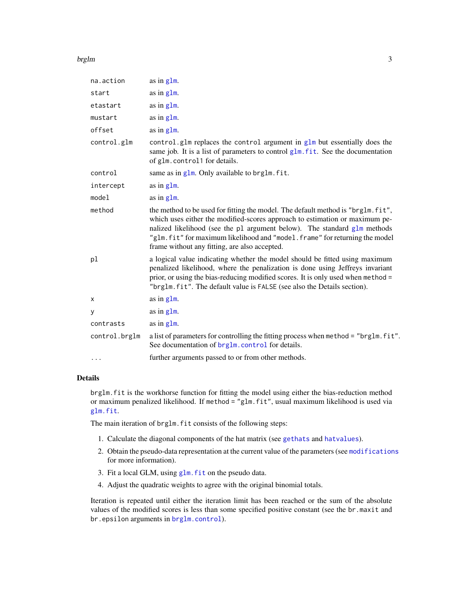#### <span id="page-2-0"></span>brglm 3

| na.action     | as in glm.                                                                                                                                                                                                                                                                                                                                                                 |
|---------------|----------------------------------------------------------------------------------------------------------------------------------------------------------------------------------------------------------------------------------------------------------------------------------------------------------------------------------------------------------------------------|
| start         | as in glm.                                                                                                                                                                                                                                                                                                                                                                 |
| etastart      | as in glm.                                                                                                                                                                                                                                                                                                                                                                 |
| mustart       | as in $g1m$ .                                                                                                                                                                                                                                                                                                                                                              |
| offset        | as in glm.                                                                                                                                                                                                                                                                                                                                                                 |
| control.glm   | control.glm replaces the control argument in glm but essentially does the<br>same job. It is a list of parameters to control glm. fit. See the documentation<br>of glm.control1 for details.                                                                                                                                                                               |
| control       | same as in $g1m$ . Only available to brg1m. fit.                                                                                                                                                                                                                                                                                                                           |
| intercept     | as in glm.                                                                                                                                                                                                                                                                                                                                                                 |
| model         | as in glm.                                                                                                                                                                                                                                                                                                                                                                 |
| method        | the method to be used for fitting the model. The default method is "brglm. fit",<br>which uses either the modified-scores approach to estimation or maximum pe-<br>nalized likelihood (see the p1 argument below). The standard g1m methods<br>"glm.fit" for maximum likelihood and "model.frame" for returning the model<br>frame without any fitting, are also accepted. |
| pl            | a logical value indicating whether the model should be fitted using maximum<br>penalized likelihood, where the penalization is done using Jeffreys invariant<br>prior, or using the bias-reducing modified scores. It is only used when method =<br>"brglm.fit". The default value is FALSE (see also the Details section).                                                |
| x             | as in glm.                                                                                                                                                                                                                                                                                                                                                                 |
| у             | as in glm.                                                                                                                                                                                                                                                                                                                                                                 |
| contrasts     | as in glm.                                                                                                                                                                                                                                                                                                                                                                 |
| control.brglm | a list of parameters for controlling the fitting process when method = "brglm.fit".<br>See documentation of brg1m. control for details.                                                                                                                                                                                                                                    |
| .             | further arguments passed to or from other methods.                                                                                                                                                                                                                                                                                                                         |

# Details

brglm.fit is the workhorse function for fitting the model using either the bias-reduction method or maximum penalized likelihood. If method = "glm.fit", usual maximum likelihood is used via [glm.fit](#page-0-0).

The main iteration of brglm.fit consists of the following steps:

- 1. Calculate the diagonal components of the hat matrix (see [gethats](#page-11-1) and [hatvalues](#page-0-0)).
- 2. Obtain the pseudo-data representation at the current value of the parameters (see [modifications](#page-13-1) for more information).
- 3. Fit a local GLM, using [glm.fit](#page-0-0) on the pseudo data.
- 4. Adjust the quadratic weights to agree with the original binomial totals.

Iteration is repeated until either the iteration limit has been reached or the sum of the absolute values of the modified scores is less than some specified positive constant (see the br.maxit and br.epsilon arguments in [brglm.control](#page-6-1)).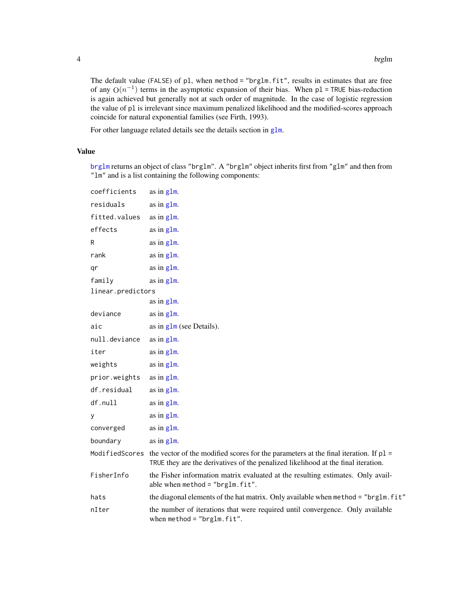The default value (FALSE) of pl, when method = "brglm.fit", results in estimates that are free of any  $O(n^{-1})$  terms in the asymptotic expansion of their bias. When pl = TRUE bias-reduction is again achieved but generally not at such order of magnitude. In the case of logistic regression the value of pl is irrelevant since maximum penalized likelihood and the modified-scores approach coincide for natural exponential families (see Firth, 1993).

For other language related details see the details section in [glm](#page-0-0).

# Value

[brglm](#page-1-1) returns an object of class "brglm". A "brglm" object inherits first from "glm" and then from "lm" and is a list containing the following components:

```
coefficients as in glm.
glm.
glm.
effects as in glm.
R as in g \ln m.
rank glm}.glm.
glm.
linear.predictors
             as in glm.
deviance as in glm.
\alpha as in g \ln(\alpha) (see Details).
glm.
glm.
weights glm}.glm.
df.residual as in glm.
glm.
y as in g1m.
converged \qquadglm.
boundary glm}.
Modified Scores the vector of the modified scores for the parameters at the final iteration. If p1 =TRUE they are the derivatives of the penalized likelihood at the final iteration.
FisherInfo the Fisher information matrix evaluated at the resulting estimates. Only avail-
             able when method = "brglm.fit".hats the diagonal elements of the hat matrix. Only available when method = "brglm.fit"
nIter the number of iterations that were required until convergence. Only available
             when method = "brglm.fit".
```
<span id="page-3-0"></span>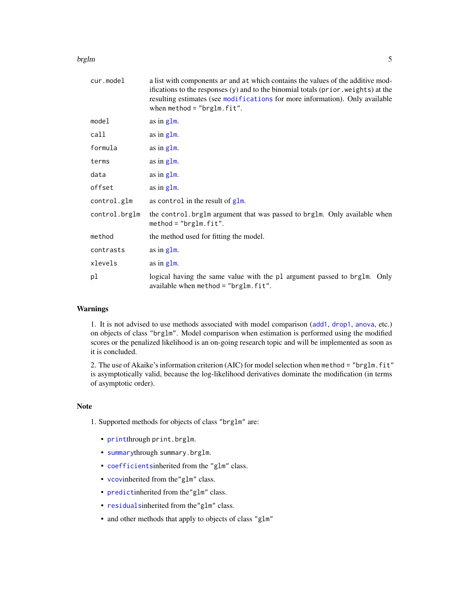#### <span id="page-4-0"></span>brglm 5

| cur.model     | a list with components ar and at which contains the values of the additive mod-<br>ifications to the responses (y) and to the binomial totals (prior weights) at the<br>resulting estimates (see modifications for more information). Only available<br>when method = $"bright.fit".$ |
|---------------|---------------------------------------------------------------------------------------------------------------------------------------------------------------------------------------------------------------------------------------------------------------------------------------|
| model         | as in glm.                                                                                                                                                                                                                                                                            |
| call          | as in glm.                                                                                                                                                                                                                                                                            |
| formula       | as in glm.                                                                                                                                                                                                                                                                            |
| terms         | as in $g \, \text{Im}$ .                                                                                                                                                                                                                                                              |
| data          | as in glm.                                                                                                                                                                                                                                                                            |
| offset        | as in glm.                                                                                                                                                                                                                                                                            |
| control.glm   | as control in the result of $g1m$ .                                                                                                                                                                                                                                                   |
| control.brglm | the control. brglm argument that was passed to brglm. Only available when<br>$method = "brglm.fit".$                                                                                                                                                                                  |
| method        | the method used for fitting the model.                                                                                                                                                                                                                                                |
| contrasts     | as in $g1m$ .                                                                                                                                                                                                                                                                         |
| xlevels       | as in glm.                                                                                                                                                                                                                                                                            |
| pl            | logical having the same value with the pl argument passed to brglm. Only<br>available when method = " $b$ rglm.fit".                                                                                                                                                                  |

# Warnings

1. It is not advised to use methods associated with model comparison ([add1](#page-0-0), [drop1](#page-0-0), [anova](#page-0-0), etc.) on objects of class "brglm". Model comparison when estimation is performed using the modified scores or the penalized likelihood is an on-going research topic and will be implemented as soon as it is concluded.

2. The use of Akaike's information criterion (AIC) for model selection when method = "brglm. fit" is asymptotically valid, because the log-likelihood derivatives dominate the modification (in terms of asymptotic order).

#### Note

- 1. Supported methods for objects of class "brglm" are:
	- [print](#page-0-0)through print.brglm.
	- [summary](#page-0-0)through summary.brglm.
	- [coefficients](#page-0-0)inherited from the "glm" class.
	- [vcov](#page-0-0)inherited from the"glm" class.
	- [predict](#page-0-0)inherited from the"glm" class.
	- [residuals](#page-0-0)inherited from the"glm" class.
	- and other methods that apply to objects of class "glm"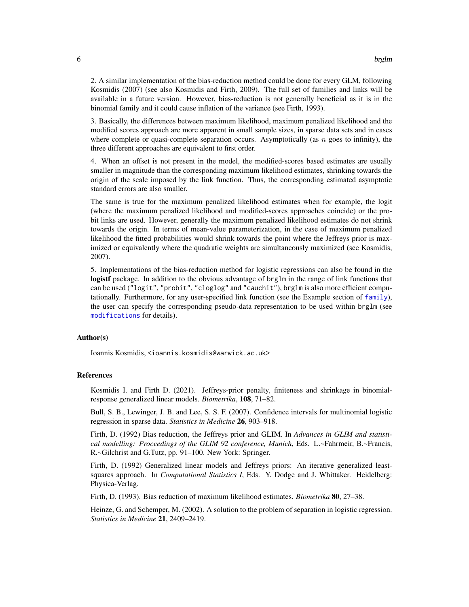<span id="page-5-0"></span>2. A similar implementation of the bias-reduction method could be done for every GLM, following Kosmidis (2007) (see also Kosmidis and Firth, 2009). The full set of families and links will be available in a future version. However, bias-reduction is not generally beneficial as it is in the binomial family and it could cause inflation of the variance (see Firth, 1993).

3. Basically, the differences between maximum likelihood, maximum penalized likelihood and the modified scores approach are more apparent in small sample sizes, in sparse data sets and in cases where complete or quasi-complete separation occurs. Asymptotically (as  $n$  goes to infinity), the three different approaches are equivalent to first order.

4. When an offset is not present in the model, the modified-scores based estimates are usually smaller in magnitude than the corresponding maximum likelihood estimates, shrinking towards the origin of the scale imposed by the link function. Thus, the corresponding estimated asymptotic standard errors are also smaller.

The same is true for the maximum penalized likelihood estimates when for example, the logit (where the maximum penalized likelihood and modified-scores approaches coincide) or the probit links are used. However, generally the maximum penalized likelihood estimates do not shrink towards the origin. In terms of mean-value parameterization, in the case of maximum penalized likelihood the fitted probabilities would shrink towards the point where the Jeffreys prior is maximized or equivalently where the quadratic weights are simultaneously maximized (see Kosmidis, 2007).

5. Implementations of the bias-reduction method for logistic regressions can also be found in the logistf package. In addition to the obvious advantage of brg1m in the range of link functions that can be used ("logit", "probit", "cloglog" and "cauchit"), brglm is also more efficient computationally. Furthermore, for any user-specified link function (see the Example section of  $fami1y$ ), the user can specify the corresponding pseudo-data representation to be used within brglm (see [modifications](#page-13-1) for details).

#### Author(s)

Ioannis Kosmidis, <ioannis.kosmidis@warwick.ac.uk>

# References

Kosmidis I. and Firth D. (2021). Jeffreys-prior penalty, finiteness and shrinkage in binomialresponse generalized linear models. *Biometrika*, 108, 71–82.

Bull, S. B., Lewinger, J. B. and Lee, S. S. F. (2007). Confidence intervals for multinomial logistic regression in sparse data. *Statistics in Medicine* 26, 903–918.

Firth, D. (1992) Bias reduction, the Jeffreys prior and GLIM. In *Advances in GLIM and statistical modelling: Proceedings of the GLIM 92 conference, Munich*, Eds. L.~Fahrmeir, B.~Francis, R.~Gilchrist and G.Tutz, pp. 91–100. New York: Springer.

Firth, D. (1992) Generalized linear models and Jeffreys priors: An iterative generalized leastsquares approach. In *Computational Statistics I*, Eds. Y. Dodge and J. Whittaker. Heidelberg: Physica-Verlag.

Firth, D. (1993). Bias reduction of maximum likelihood estimates. *Biometrika* 80, 27–38.

Heinze, G. and Schemper, M. (2002). A solution to the problem of separation in logistic regression. *Statistics in Medicine* 21, 2409–2419.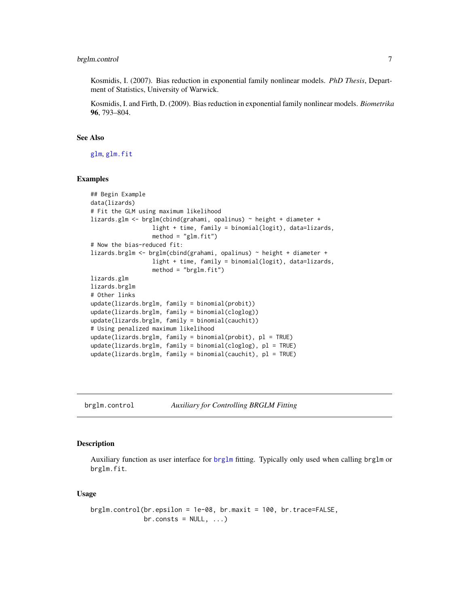<span id="page-6-0"></span>Kosmidis, I. (2007). Bias reduction in exponential family nonlinear models. *PhD Thesis*, Department of Statistics, University of Warwick.

Kosmidis, I. and Firth, D. (2009). Bias reduction in exponential family nonlinear models. *Biometrika* 96, 793–804.

#### See Also

[glm](#page-0-0), [glm.fit](#page-0-0)

#### Examples

```
## Begin Example
data(lizards)
# Fit the GLM using maximum likelihood
lizards.glm <- brglm(cbind(grahami, opalinus) ~ height + diameter +
                  light + time, family = binomial(logit), data=lizards,
                  method = "glm.fit")# Now the bias-reduced fit:
lizards.brglm <- brglm(cbind(grahami, opalinus) ~ height + diameter +
                  light + time, family = binomial(logit), data=lizards,
                  method = "brglm.fit")lizards.glm
lizards.brglm
# Other links
update(lizards.brglm, family = binomial(probit))
update(lizards.brglm, family = binomial(cloglog))
update(lizards.brglm, family = binomial(cauchit))
# Using penalized maximum likelihood
update(lizards.brglm, family = binomial(probit), pl = TRUE)
update(lizards.brglm, family = binomial(cloglog), pl = TRUE)
update(lizards.brglm, family = binomial(cauchit), pl = TRUE)
```
<span id="page-6-1"></span>

brglm.control *Auxiliary for Controlling BRGLM Fitting*

# **Description**

Auxiliary function as user interface for [brglm](#page-1-1) fitting. Typically only used when calling brglm or brglm.fit.

#### Usage

```
brglm.control(br.epsilon = 1e-08, br.maxit = 100, br.trace=FALSE,
             br.consts = NULL, ...
```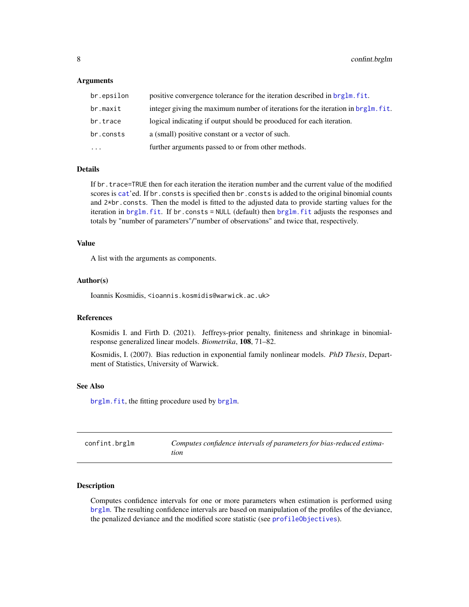#### <span id="page-7-0"></span>**Arguments**

| br.epsilon | positive convergence tolerance for the iteration described in brglm. fit.        |
|------------|----------------------------------------------------------------------------------|
| br.maxit   | integer giving the maximum number of iterations for the iteration in brg1m, fit. |
| br.trace   | logical indicating if output should be prooduced for each iteration.             |
| br.consts  | a (small) positive constant or a vector of such.                                 |
| $\cdots$   | further arguments passed to or from other methods.                               |

# Details

If br.trace=TRUE then for each iteration the iteration number and the current value of the modified scores is [cat](#page-0-0)'ed. If br.consts is specified then br.consts is added to the original binomial counts and 2\*br.consts. Then the model is fitted to the adjusted data to provide starting values for the iteration in [brglm.fit](#page-1-2). If br.consts = NULL (default) then [brglm.fit](#page-1-2) adjusts the responses and totals by "number of parameters"/"number of observations" and twice that, respectively.

#### Value

A list with the arguments as components.

#### Author(s)

Ioannis Kosmidis, <ioannis.kosmidis@warwick.ac.uk>

#### References

Kosmidis I. and Firth D. (2021). Jeffreys-prior penalty, finiteness and shrinkage in binomialresponse generalized linear models. *Biometrika*, 108, 71–82.

Kosmidis, I. (2007). Bias reduction in exponential family nonlinear models. *PhD Thesis*, Department of Statistics, University of Warwick.

#### See Also

[brglm.fit](#page-1-2), the fitting procedure used by [brglm](#page-1-1).

<span id="page-7-1"></span>

| confint.brglm | Computes confidence intervals of parameters for bias-reduced estima- |
|---------------|----------------------------------------------------------------------|
|               | tion                                                                 |

#### Description

Computes confidence intervals for one or more parameters when estimation is performed using [brglm](#page-1-1). The resulting confidence intervals are based on manipulation of the profiles of the deviance, the penalized deviance and the modified score statistic (see [profileObjectives](#page-20-1)).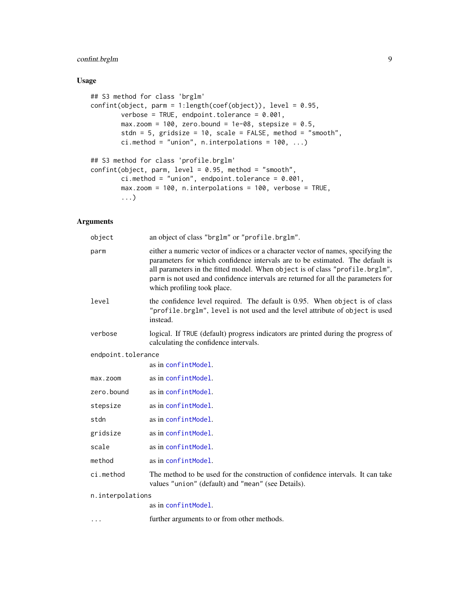# <span id="page-8-0"></span>confint.brglm 9

# Usage

```
## S3 method for class 'brglm'
confint(object, parm = 1:length(coef(object)), level = 0.95,
        verbose = TRUE, endpoint.tolerance = 0.001,
        max.zoom = 100, zero.bound = 1e-08, stepsize = 0.5,
        stdn = 5, gridsize = 10, scale = FALSE, method = "smooth",
        ci.method = "union", n.interpolations = 100, ...)
## S3 method for class 'profile.brglm'
confint(object, parm, level = 0.95, method = "smooth",ci.method = "union", endpoint.tolerance = 0.001,
        max.zoom = 100, n.interpolations = 100, verbose = TRUE,
        ...)
```
# Arguments

| object             | an object of class "brglm" or "profile.brglm".                                                                                                                                                                                                                                                                                                                         |
|--------------------|------------------------------------------------------------------------------------------------------------------------------------------------------------------------------------------------------------------------------------------------------------------------------------------------------------------------------------------------------------------------|
| parm               | either a numeric vector of indices or a character vector of names, specifying the<br>parameters for which confidence intervals are to be estimated. The default is<br>all parameters in the fitted model. When object is of class "profile.brglm",<br>parm is not used and confidence intervals are returned for all the parameters for<br>which profiling took place. |
| level              | the confidence level required. The default is 0.95. When object is of class<br>"profile.brglm", level is not used and the level attribute of object is used<br>instead.                                                                                                                                                                                                |
| verbose            | logical. If TRUE (default) progress indicators are printed during the progress of<br>calculating the confidence intervals.                                                                                                                                                                                                                                             |
| endpoint.tolerance |                                                                                                                                                                                                                                                                                                                                                                        |
|                    | as in confintModel.                                                                                                                                                                                                                                                                                                                                                    |
| $max.z$ oom        | as in confintModel.                                                                                                                                                                                                                                                                                                                                                    |
| zero.bound         | as in confintModel.                                                                                                                                                                                                                                                                                                                                                    |
| stepsize           | as in confintModel.                                                                                                                                                                                                                                                                                                                                                    |
| stdn               | as in confintModel.                                                                                                                                                                                                                                                                                                                                                    |
| gridsize           | as in confintModel.                                                                                                                                                                                                                                                                                                                                                    |
| scale              | as in confintModel.                                                                                                                                                                                                                                                                                                                                                    |
| method             | as in confintModel.                                                                                                                                                                                                                                                                                                                                                    |
| ci.method          | The method to be used for the construction of confidence intervals. It can take<br>values "union" (default) and "mean" (see Details).                                                                                                                                                                                                                                  |
| n.interpolations   |                                                                                                                                                                                                                                                                                                                                                                        |
|                    | as in confintModel.                                                                                                                                                                                                                                                                                                                                                    |
| .                  | further arguments to or from other methods.                                                                                                                                                                                                                                                                                                                            |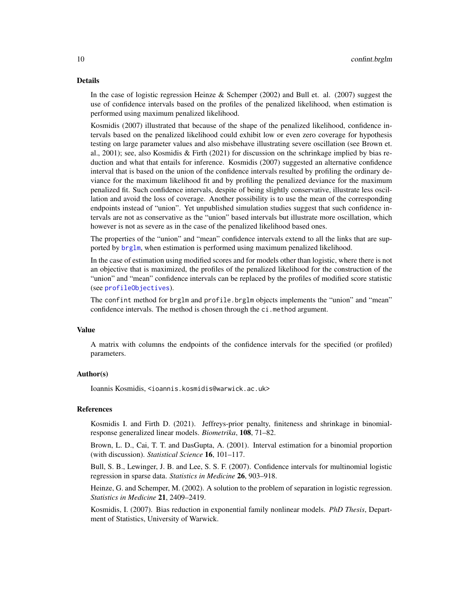#### <span id="page-9-0"></span>Details

In the case of logistic regression Heinze & Schemper (2002) and Bull et. al. (2007) suggest the use of confidence intervals based on the profiles of the penalized likelihood, when estimation is performed using maximum penalized likelihood.

Kosmidis (2007) illustrated that because of the shape of the penalized likelihood, confidence intervals based on the penalized likelihood could exhibit low or even zero coverage for hypothesis testing on large parameter values and also misbehave illustrating severe oscillation (see Brown et. al., 2001); see, also Kosmidis & Firth (2021) for discussion on the schrinkage implied by bias reduction and what that entails for inference. Kosmidis (2007) suggested an alternative confidence interval that is based on the union of the confidence intervals resulted by profiling the ordinary deviance for the maximum likelihood fit and by profiling the penalized deviance for the maximum penalized fit. Such confidence intervals, despite of being slightly conservative, illustrate less oscillation and avoid the loss of coverage. Another possibility is to use the mean of the corresponding endpoints instead of "union". Yet unpublished simulation studies suggest that such confidence intervals are not as conservative as the "union" based intervals but illustrate more oscillation, which however is not as severe as in the case of the penalized likelihood based ones.

The properties of the "union" and "mean" confidence intervals extend to all the links that are supported by [brglm](#page-1-1), when estimation is performed using maximum penalized likelihood.

In the case of estimation using modified scores and for models other than logistic, where there is not an objective that is maximized, the profiles of the penalized likelihood for the construction of the "union" and "mean" confidence intervals can be replaced by the profiles of modified score statistic (see [profileObjectives](#page-20-1)).

The confint method for brglm and profile.brglm objects implements the "union" and "mean" confidence intervals. The method is chosen through the ci.method argument.

#### Value

A matrix with columns the endpoints of the confidence intervals for the specified (or profiled) parameters.

#### Author(s)

Ioannis Kosmidis, <ioannis.kosmidis@warwick.ac.uk>

# References

Kosmidis I. and Firth D. (2021). Jeffreys-prior penalty, finiteness and shrinkage in binomialresponse generalized linear models. *Biometrika*, 108, 71–82.

Brown, L. D., Cai, T. T. and DasGupta, A. (2001). Interval estimation for a binomial proportion (with discussion). *Statistical Science* 16, 101–117.

Bull, S. B., Lewinger, J. B. and Lee, S. S. F. (2007). Confidence intervals for multinomial logistic regression in sparse data. *Statistics in Medicine* 26, 903–918.

Heinze, G. and Schemper, M. (2002). A solution to the problem of separation in logistic regression. *Statistics in Medicine* 21, 2409–2419.

Kosmidis, I. (2007). Bias reduction in exponential family nonlinear models. *PhD Thesis*, Department of Statistics, University of Warwick.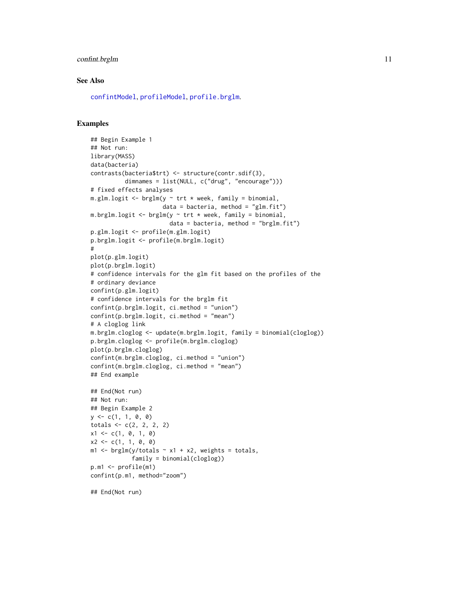# <span id="page-10-0"></span>confint.brglm 11

#### See Also

[confintModel](#page-0-0), [profileModel](#page-0-0), [profile.brglm](#page-19-1).

#### Examples

```
## Begin Example 1
## Not run:
library(MASS)
data(bacteria)
contrasts(bacteria$trt) <- structure(contr.sdif(3),
          dimnames = list(NULL, c("drug", "encourage")))
# fixed effects analyses
m.glm.logit \leq brglm(y \sim trt \times week, family = binomial,data = bacteria, method = "glm.fit")m.brglm.logit \leq brglm(y \sim trt \times week, family = binomial,data = bacteria, method = "brglm.fit")
p.glm.logit <- profile(m.glm.logit)
p.brglm.logit <- profile(m.brglm.logit)
#
plot(p.glm.logit)
plot(p.brglm.logit)
# confidence intervals for the glm fit based on the profiles of the
# ordinary deviance
confint(p.glm.logit)
# confidence intervals for the brglm fit
confint(p.brglm.logit, ci.method = "union")
confint(p.brglm.logit, ci.method = "mean")
# A cloglog link
m.brglm.cloglog <- update(m.brglm.logit, family = binomial(cloglog))
p.brglm.cloglog <- profile(m.brglm.cloglog)
plot(p.brglm.cloglog)
confint(m.brglm.cloglog, ci.method = "union")
confint(m.brglm.cloglog, ci.method = "mean")
## End example
## End(Not run)
## Not run:
## Begin Example 2
y \leftarrow c(1, 1, 0, 0)totals < -c(2, 2, 2, 2)x1 \leftarrow c(1, 0, 1, 0)x2 \leq -c(1, 1, 0, 0)m1 <- brglm(y/totals \sim x1 + x2, weights = totals,
            family = binomial(cloglog))
p.m1 <- profile(m1)
confint(p.m1, method="zoom")
```
## End(Not run)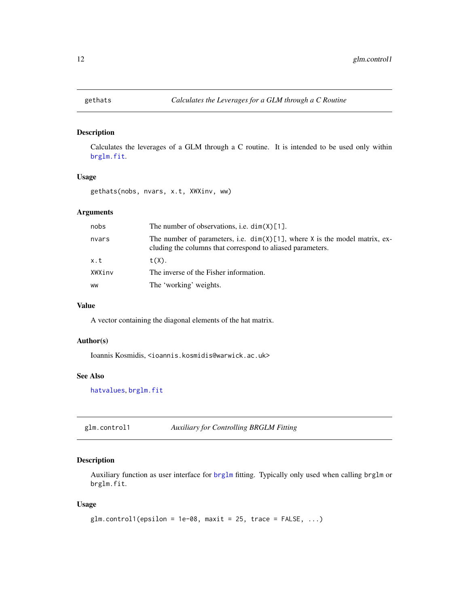<span id="page-11-1"></span><span id="page-11-0"></span>

# Description

Calculates the leverages of a GLM through a C routine. It is intended to be used only within [brglm.fit](#page-1-2).

# Usage

gethats(nobs, nvars, x.t, XWXinv, ww)

# Arguments

| nobs   | The number of observations, i.e. $dim(X)[1]$ .                                                                                              |
|--------|---------------------------------------------------------------------------------------------------------------------------------------------|
| nvars  | The number of parameters, i.e. $dim(X)[1]$ , where X is the model matrix, ex-<br>cluding the columns that correspond to aliased parameters. |
| x.t    | $t(X)$ .                                                                                                                                    |
| XWXinv | The inverse of the Fisher information.                                                                                                      |
| WW     | The 'working' weights.                                                                                                                      |

#### Value

A vector containing the diagonal elements of the hat matrix.

### Author(s)

Ioannis Kosmidis, <ioannis.kosmidis@warwick.ac.uk>

# See Also

[hatvalues](#page-0-0), [brglm.fit](#page-1-2)

glm.control1 *Auxiliary for Controlling BRGLM Fitting*

# Description

Auxiliary function as user interface for [brglm](#page-1-1) fitting. Typically only used when calling brglm or brglm.fit.

#### Usage

```
glm.controll(epsilon = 1e-08, maxit = 25, trace = FALSE, ...)
```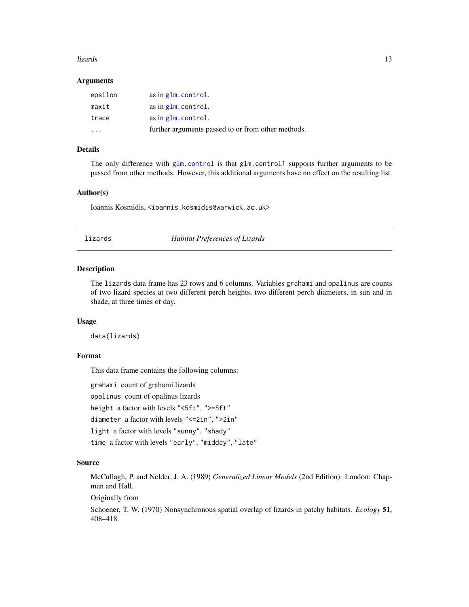#### <span id="page-12-0"></span>lizards the contract of the contract of the contract of the contract of the contract of the contract of the contract of the contract of the contract of the contract of the contract of the contract of the contract of the co

#### **Arguments**

| epsilon | as in glm. control.                                |
|---------|----------------------------------------------------|
| maxit   | as in glm.control.                                 |
| trace   | as in glm. control.                                |
| .       | further arguments passed to or from other methods. |

#### Details

The only difference with  $g1m$ .control is that  $g1m$ .control1 supports further arguments to be passed from other methods. However, this additional arguments have no effect on the resulting list.

# Author(s)

Ioannis Kosmidis, <ioannis.kosmidis@warwick.ac.uk>

lizards *Habitat Preferences of Lizards*

#### Description

The lizards data frame has 23 rows and 6 columns. Variables grahami and opalinus are counts of two lizard species at two different perch heights, two different perch diameters, in sun and in shade, at three times of day.

### Usage

data(lizards)

#### Format

This data frame contains the following columns:

grahami count of grahami lizards

opalinus count of opalinus lizards

height a factor with levels "<5ft", ">=5ft"

diameter a factor with levels "<=2in", ">2in"

light a factor with levels "sunny", "shady"

time a factor with levels "early", "midday", "late"

#### Source

McCullagh, P. and Nelder, J. A. (1989) *Generalized Linear Models* (2nd Edition). London: Chapman and Hall.

Originally from

Schoener, T. W. (1970) Nonsynchronous spatial overlap of lizards in patchy habitats. *Ecology* 51, 408–418.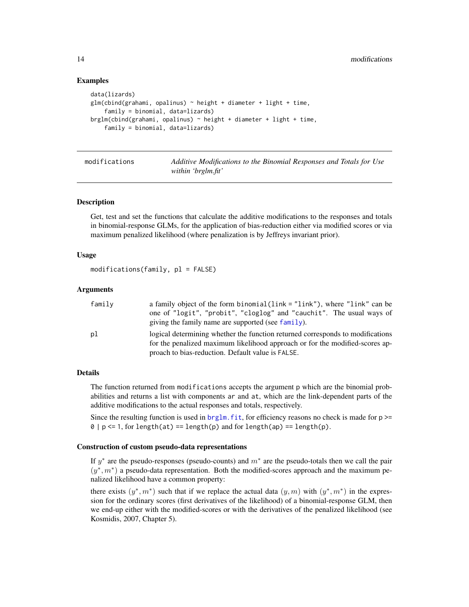#### Examples

```
data(lizards)
glm(cbind(grahami, opalinus) ~ height + diameter + light + time,family = binomial, data=lizards)
brglm(cbind(grahami, opalinus) ~ height + diameter + light + time,
    family = binomial, data=lizards)
```
<span id="page-13-1"></span>

modifications *Additive Modifications to the Binomial Responses and Totals for Use within 'brglm.fit'*

#### <span id="page-13-2"></span>Description

Get, test and set the functions that calculate the additive modifications to the responses and totals in binomial-response GLMs, for the application of bias-reduction either via modified scores or via maximum penalized likelihood (where penalization is by Jeffreys invariant prior).

#### Usage

modifications(family, pl = FALSE)

#### Arguments

| family | a family object of the form binomial (link = "link"), where "link" can be      |
|--------|--------------------------------------------------------------------------------|
|        | one of "logit", "probit", "cloglog" and "cauchit". The usual ways of           |
|        | giving the family name are supported (see family).                             |
| рl     | logical determining whether the function returned corresponds to modifications |
|        | for the penalized maximum likelihood approach or for the modified-scores ap-   |
|        | proach to bias-reduction. Default value is FALSE.                              |

#### Details

The function returned from modifications accepts the argument p which are the binomial probabilities and returns a list with components ar and at, which are the link-dependent parts of the additive modifications to the actual responses and totals, respectively.

Since the resulting function is used in  $brglm$ . fit, for efficiency reasons no check is made for  $p \geq$  $0 | p \le 1$ , for length(at) == length(p) and for length(ap) == length(p).

#### Construction of custom pseudo-data representations

If  $y^*$  are the pseudo-responses (pseudo-counts) and  $m^*$  are the pseudo-totals then we call the pair  $(y^*, m^*)$  a pseudo-data representation. Both the modified-scores approach and the maximum penalized likelihood have a common property:

there exists  $(y^*, m^*)$  such that if we replace the actual data  $(y, m)$  with  $(y^*, m^*)$  in the expression for the ordinary scores (first derivatives of the likelihood) of a binomial-response GLM, then we end-up either with the modified-scores or with the derivatives of the penalized likelihood (see Kosmidis, 2007, Chapter 5).

<span id="page-13-0"></span>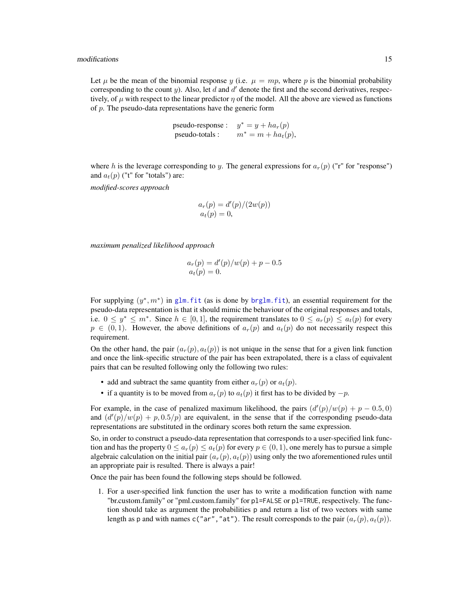<span id="page-14-0"></span>Let  $\mu$  be the mean of the binomial response y (i.e.  $\mu = mp$ , where p is the binomial probability corresponding to the count  $y$ ). Also, let  $d$  and  $d'$  denote the first and the second derivatives, respectively, of  $\mu$  with respect to the linear predictor  $\eta$  of the model. All the above are viewed as functions of  $p$ . The pseudo-data representations have the generic form

> pseudo-response :  $y^* = y + ha_r(p)$ pseudo-totals :  $m^* = m + ha_t(p)$ ,

where h is the leverage corresponding to y. The general expressions for  $a_r(p)$  ("r" for "response") and  $a_t(p)$  ("t" for "totals") are:

*modified-scores approach*

$$
ar(p) = d'(p)/(2w(p))
$$
  

$$
at(p) = 0,
$$

*maximum penalized likelihood approach*

$$
a_r(p) = d'(p)/w(p) + p - 0.5
$$
  

$$
a_t(p) = 0.
$$

For supplying  $(y^*, m^*)$  in glm. fit (as is done by brglm. fit), an essential requirement for the pseudo-data representation is that it should mimic the behaviour of the original responses and totals, i.e.  $0 \leq y^* \leq m^*$ . Since  $h \in [0,1]$ , the requirement translates to  $0 \leq a_r(p) \leq a_t(p)$  for every  $p \in (0, 1)$ . However, the above definitions of  $a_r(p)$  and  $a_t(p)$  do not necessarily respect this requirement.

On the other hand, the pair  $(a_r(p), a_t(p))$  is not unique in the sense that for a given link function and once the link-specific structure of the pair has been extrapolated, there is a class of equivalent pairs that can be resulted following only the following two rules:

- add and subtract the same quantity from either  $a_r(p)$  or  $a_t(p)$ .
- if a quantity is to be moved from  $a_r(p)$  to  $a_t(p)$  it first has to be divided by  $-p$ .

For example, in the case of penalized maximum likelihood, the pairs  $(d'(p)/w(p) + p - 0.5, 0)$ and  $\left(\frac{d'(p)}{w(p)} + p, 0.5/p\right)$  are equivalent, in the sense that if the corresponding pseudo-data representations are substituted in the ordinary scores both return the same expression.

So, in order to construct a pseudo-data representation that corresponds to a user-specified link function and has the property  $0 \le a_r(p) \le a_t(p)$  for every  $p \in (0, 1)$ , one merely has to pursue a simple algebraic calculation on the initial pair  $(a_r(p), a_t(p))$  using only the two aforementioned rules until an appropriate pair is resulted. There is always a pair!

Once the pair has been found the following steps should be followed.

1. For a user-specified link function the user has to write a modification function with name "br.custom.family" or "pml.custom.family" for pl=FALSE or pl=TRUE, respectively. The function should take as argument the probabilities p and return a list of two vectors with same length as p and with names c("ar", "at"). The result corresponds to the pair  $(a_r(p), a_t(p))$ .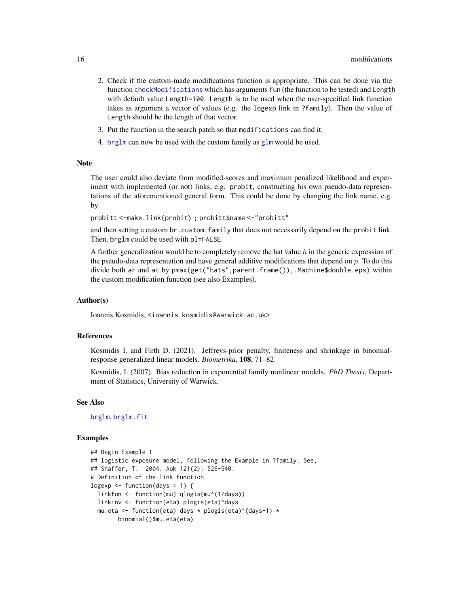- <span id="page-15-0"></span>2. Check if the custom-made modifications function is appropriate. This can be done via the function [checkModifications](#page-13-2) which has arguments fun (the function to be tested) and Length with default value Length=100. Length is to be used when the user-specified link function takes as argument a vector of values (e.g. the logexp link in ?family). Then the value of Length should be the length of that vector.
- 3. Put the function in the search patch so that modifications can find it.
- 4. [brglm](#page-1-1) can now be used with the custom family as [glm](#page-0-0) would be used.

#### Note

The user could also deviate from modified-scores and maximum penalized likelihood and experiment with implemented (or not) links, e.g. probit, constructing his own pseudo-data representations of the aforementioned general form. This could be done by changing the link name, e.g. by

probitt <-make.link(probit) ; probitt\$name <-"probitt"

and then setting a custom br. custom. family that does not necessarily depend on the probit link. Then, brglm could be used with pl=FALSE.

A further generalization would be to completely remove the hat value  $h$  in the generic expression of the pseudo-data representation and have general additive modifications that depend on  $p$ . To do this divide both ar and at by pmax(get("hats",parent.frame()),.Machine\$double.eps) within the custom modification function (see also Examples).

#### Author(s)

Ioannis Kosmidis, <ioannis.kosmidis@warwick.ac.uk>

#### References

Kosmidis I. and Firth D. (2021). Jeffreys-prior penalty, finiteness and shrinkage in binomialresponse generalized linear models. *Biometrika*, 108, 71–82.

Kosmidis, I. (2007). Bias reduction in exponential family nonlinear models. *PhD Thesis*, Department of Statistics, University of Warwick.

#### See Also

[brglm](#page-1-1), [brglm.fit](#page-1-2)

#### Examples

```
## Begin Example 1
## logistic exposure model, following the Example in ?family. See,
## Shaffer, T. 2004. Auk 121(2): 526-540.
# Definition of the link function
logexp \leq function(days = 1) {
 linkfun <- function(mu) qlogis(mu^(1/days))
 linkinv <- function(eta) plogis(eta)^days
 mu.eta <- function(eta) days * plogis(eta)^(days-1) *
       binomial()$mu.eta(eta)
```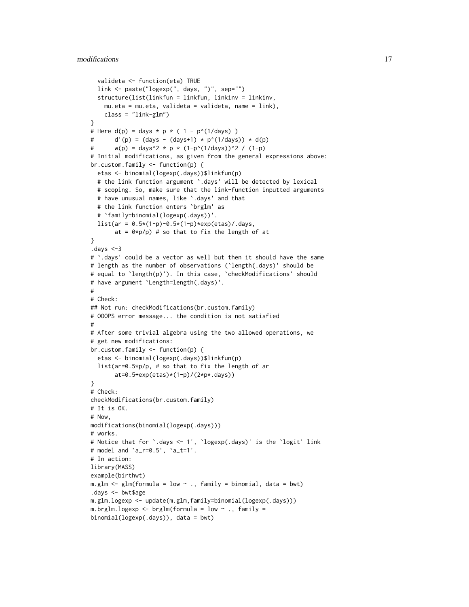```
valideta <- function(eta) TRUE
  link <- paste("logexp(", days, ")", sep="")
  structure(list(linkfun = linkfun, linkinv = linkinv,
    mu.eta = mu.eta, valideta = valideta, name = link),
    class = "link-glm")
}
# Here d(p) = days * p * (1 - p^{(1/days)})# d'(p) = (days - (days+1) * p^(1/days)) * d(p)
# w(p) = \text{days}^2 \times p \times (1-p^2(1/\text{days}))^2 / (1-p)
# Initial modifications, as given from the general expressions above:
br.custom.family <- function(p) {
  etas <- binomial(logexp(.days))$linkfun(p)
  # the link function argument `.days' will be detected by lexical
  # scoping. So, make sure that the link-function inputted arguments
  # have unusual names, like `.days' and that
  # the link function enters `brglm' as
  # `family=binomial(logexp(.days))'.
  list(ar = 0.5*(1-p)-0.5*(1-p)*exp(etas)/days,at = 0 \times p/p) # so that to fix the length of at
}
.days <-3
# `.days' could be a vector as well but then it should have the same
# length as the number of observations (`length(.days)' should be
# equal to `length(p)'). In this case, `checkModifications' should
# have argument `Length=length(.days)'.
#
# Check:
## Not run: checkModifications(br.custom.family)
# OOOPS error message... the condition is not satisfied
#
# After some trivial algebra using the two allowed operations, we
# get new modifications:
br.custom.family <- function(p) {
  etas <- binomial(logexp(.days))$linkfun(p)
  list(ar=0.5*p/p, # so that to fix the length of ar
       at=0.5+exp(etas)*(1-p)/(2*p*.days))
\lambda# Check:
checkModifications(br.custom.family)
# It is OK.
# Now,
modifications(binomial(logexp(.days)))
# works.
# Notice that for `.days <- 1', `logexp(.days)' is the `logit' link
# model and `a_r=0.5', `a_t=1'.
# In action:
library(MASS)
example(birthwt)
m.glm \leftarrow glm(formula = low \sim ., family = binomial, data = bw).days <- bwt$age
m.glm.logexp <- update(m.glm,family=binomial(logexp(.days)))
m.brglm.logexp <- brglm(formula = low ~ ., family =
binomial(logexp(.days)), data = bwt)
```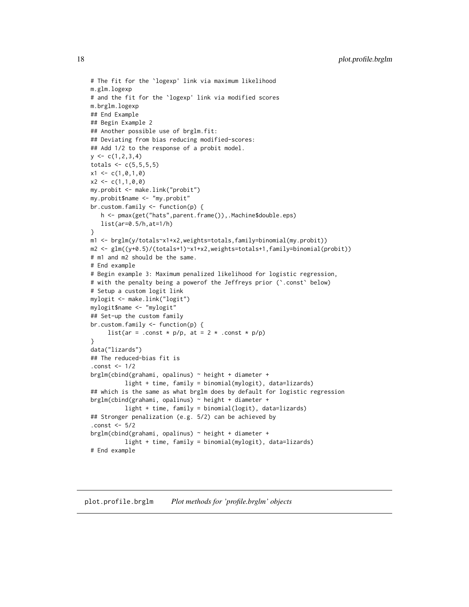```
# The fit for the `logexp' link via maximum likelihood
m.glm.logexp
# and the fit for the `logexp' link via modified scores
m.brglm.logexp
## End Example
## Begin Example 2
## Another possible use of brglm.fit:
## Deviating from bias reducing modified-scores:
## Add 1/2 to the response of a probit model.
y \leftarrow c(1, 2, 3, 4)totals <-c(5,5,5,5)x1 \leftarrow c(1, 0, 1, 0)x2 \leq -c(1,1,0,0)my.probit <- make.link("probit")
my.probit$name <- "my.probit"
br.custom.family <- function(p) {
   h <- pmax(get("hats",parent.frame()),.Machine$double.eps)
   list(ar=0.5/h,at=1/h)
}
m1 <- brglm(y/totals~x1+x2,weights=totals,family=binomial(my.probit))
m2 <- glm((y+0.5)/(totals+1)~x1+x2,weights=totals+1,family=binomial(probit))
# m1 and m2 should be the same.
# End example
# Begin example 3: Maximum penalized likelihood for logistic regression,
# with the penalty being a powerof the Jeffreys prior (`.const` below)
# Setup a custom logit link
mylogit <- make.link("logit")
mylogit$name <- "mylogit"
## Set-up the custom family
br.custom.family <- function(p) {
     list(ar = .const * p/p, at = 2 * .const * p/p)
}
data("lizards")
## The reduced-bias fit is
.const <- 1/2
brglm(cbind(grahami, opalinus) ~ height + diameter +
          light + time, family = binomial(mylogit), data=lizards)
## which is the same as what brglm does by default for logistic regression
brglm(cbind(grahami, opalinus) ~ height + diameter +
          light + time, family = binomial(logit), data=lizards)
## Stronger penalization (e.g. 5/2) can be achieved by
.const <- 5/2
brglm(cbind(grahami, opalinus) ~ height + diameter +
          light + time, family = binomial(mylogit), data=lizards)
# End example
```
<span id="page-17-1"></span>plot.profile.brglm *Plot methods for 'profile.brglm' objects*

<span id="page-17-0"></span>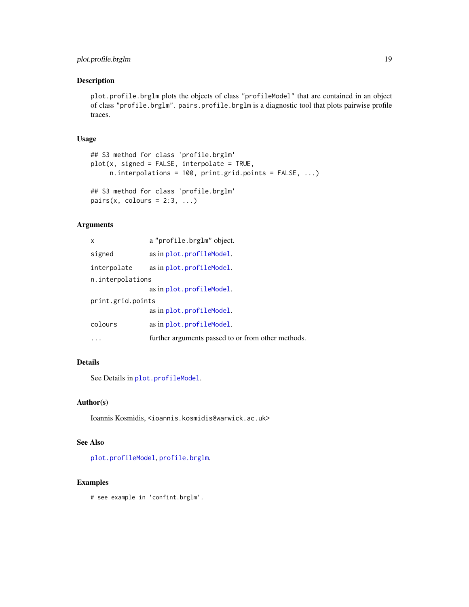# <span id="page-18-0"></span>plot.profile.brglm 19

# Description

plot.profile.brglm plots the objects of class "profileModel" that are contained in an object of class "profile.brglm". pairs.profile.brglm is a diagnostic tool that plots pairwise profile traces.

# Usage

```
## S3 method for class 'profile.brglm'
plot(x, signed = FALSE, interpolate = TRUE,
     n.interpolations = 100, print.grid.points = FALSE, ...)
## S3 method for class 'profile.brglm'
```
pairs(x, colours =  $2:3, ...$ )

# Arguments

| x                 | a "profile.brglm" object.                          |  |
|-------------------|----------------------------------------------------|--|
| signed            | as in plot.profileModel.                           |  |
| interpolate       | as in plot.profileModel.                           |  |
| n.interpolations  |                                                    |  |
|                   | as in plot.profileModel.                           |  |
| print.grid.points |                                                    |  |
|                   | as in plot.profileModel.                           |  |
| colours           | as in plot.profileModel.                           |  |
|                   | further arguments passed to or from other methods. |  |

# Details

See Details in [plot.profileModel](#page-0-0).

#### Author(s)

Ioannis Kosmidis, <ioannis.kosmidis@warwick.ac.uk>

# See Also

[plot.profileModel](#page-0-0), [profile.brglm](#page-19-1).

# Examples

# see example in 'confint.brglm'.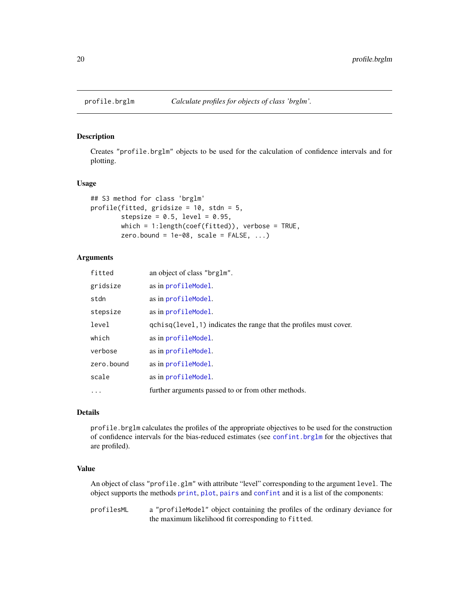<span id="page-19-1"></span><span id="page-19-0"></span>

# Description

Creates "profile.brglm" objects to be used for the calculation of confidence intervals and for plotting.

#### Usage

```
## S3 method for class 'brglm'
profile(fitted, gridsize = 10, stdn = 5,
        stepsize = 0.5, level = 0.95,
        which = 1: length(coef(fitted)), verbose = TRUE,
        zero.bound = 1e-08, scale = FALSE, ...)
```
# Arguments

| fitted     | an object of class "brg1m".                                        |
|------------|--------------------------------------------------------------------|
| gridsize   | as in profileModel.                                                |
| stdn       | as in profileModel.                                                |
| stepsize   | as in profileModel.                                                |
| level      | qchisq(level, 1) indicates the range that the profiles must cover. |
| which      | as in profileModel.                                                |
| verbose    | as in profileModel.                                                |
| zero.bound | as in profileModel.                                                |
| scale      | as in profileModel.                                                |
| $\ddots$   | further arguments passed to or from other methods.                 |

# Details

profile.brglm calculates the profiles of the appropriate objectives to be used for the construction of confidence intervals for the bias-reduced estimates (see [confint.brglm](#page-7-1) for the objectives that are profiled).

# Value

An object of class "profile.glm" with attribute "level" corresponding to the argument level. The object supports the methods [print](#page-0-0), [plot](#page-0-0), [pairs](#page-0-0) and [confint](#page-0-0) and it is a list of the components:

profilesML a "profileModel" object containing the profiles of the ordinary deviance for the maximum likelihood fit corresponding to fitted.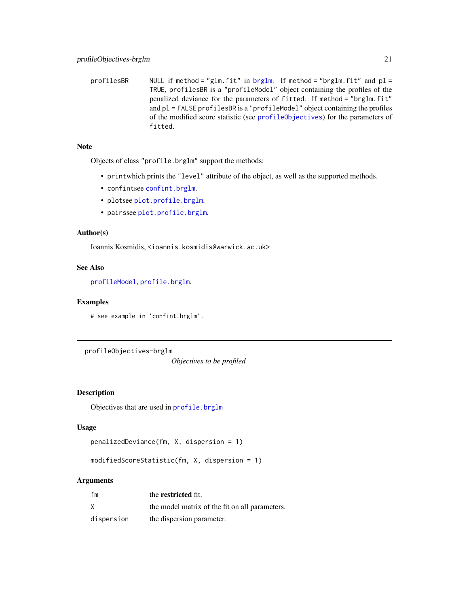<span id="page-20-0"></span>profilesBR NULL if method = "glm.fit" in [brglm](#page-1-1). If method = "brglm.fit" and  $p1 =$ TRUE, profilesBR is a "profileModel" object containing the profiles of the penalized deviance for the parameters of fitted. If method = "brglm.fit" and pl = FALSE profilesBR is a "profileModel" object containing the profiles of the modified score statistic (see [profileObjectives](#page-20-1)) for the parameters of fitted.

### Note

Objects of class "profile.brglm" support the methods:

- printwhich prints the "level" attribute of the object, as well as the supported methods.
- confintsee [confint.brglm](#page-7-1).
- plotsee [plot.profile.brglm](#page-17-1).
- pairssee [plot.profile.brglm](#page-17-1).

## Author(s)

Ioannis Kosmidis, <ioannis.kosmidis@warwick.ac.uk>

# See Also

[profileModel](#page-0-0), [profile.brglm](#page-19-1).

#### Examples

# see example in 'confint.brglm'.

profileObjectives-brglm

*Objectives to be profiled*

# <span id="page-20-1"></span>Description

Objectives that are used in [profile.brglm](#page-19-1)

# Usage

```
penalizedDeviance(fm, X, dispersion = 1)
```
modifiedScoreStatistic(fm, X, dispersion = 1)

# Arguments

| fm         | the restricted fit.                            |
|------------|------------------------------------------------|
| X          | the model matrix of the fit on all parameters. |
| dispersion | the dispersion parameter.                      |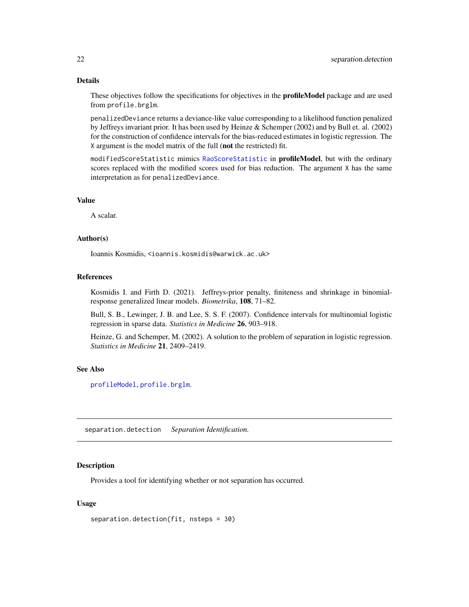# <span id="page-21-0"></span>Details

These objectives follow the specifications for objectives in the profileModel package and are used from profile.brglm.

penalizedDeviance returns a deviance-like value corresponding to a likelihood function penalized by Jeffreys invariant prior. It has been used by Heinze & Schemper (2002) and by Bull et. al. (2002) for the construction of confidence intervals for the bias-reduced estimates in logistic regression. The X argument is the model matrix of the full (not the restricted) fit.

modifiedScoreStatistic mimics [RaoScoreStatistic](#page-0-0) in profileModel, but with the ordinary scores replaced with the modified scores used for bias reduction. The argument X has the same interpretation as for penalizedDeviance.

#### Value

A scalar.

#### Author(s)

Ioannis Kosmidis, <ioannis.kosmidis@warwick.ac.uk>

#### References

Kosmidis I. and Firth D. (2021). Jeffreys-prior penalty, finiteness and shrinkage in binomialresponse generalized linear models. *Biometrika*, 108, 71–82.

Bull, S. B., Lewinger, J. B. and Lee, S. S. F. (2007). Confidence intervals for multinomial logistic regression in sparse data. *Statistics in Medicine* 26, 903–918.

Heinze, G. and Schemper, M. (2002). A solution to the problem of separation in logistic regression. *Statistics in Medicine* 21, 2409–2419.

#### See Also

[profileModel](#page-0-0), [profile.brglm](#page-19-1).

separation.detection *Separation Identification.*

#### **Description**

Provides a tool for identifying whether or not separation has occurred.

#### Usage

separation.detection(fit, nsteps = 30)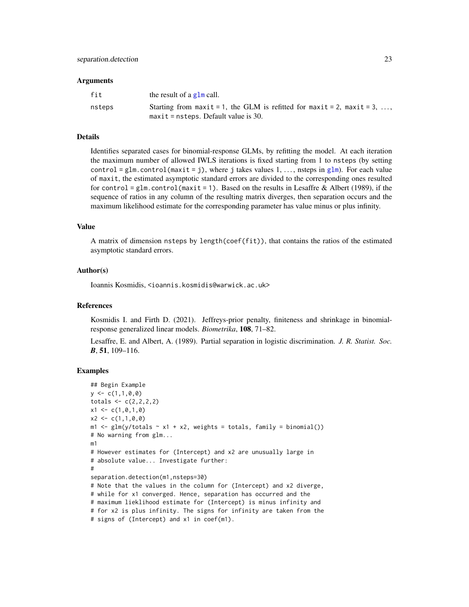#### <span id="page-22-0"></span>**Arguments**

| fit    | the result of a $g1m$ call.                                                                                       |
|--------|-------------------------------------------------------------------------------------------------------------------|
| nsteps | Starting from maxit = 1, the GLM is refitted for maxit = 2, maxit = 3,<br>$maxit = nsteps$ . Default value is 30. |

# Details

Identifies separated cases for binomial-response GLMs, by refitting the model. At each iteration the maximum number of allowed IWLS iterations is fixed starting from 1 to nsteps (by setting control = [glm](#page-0-0).control(maxit = j), where j takes values 1, ..., nsteps in glm). For each value of maxit, the estimated asymptotic standard errors are divided to the corresponding ones resulted for control = glm.control (maxit = 1). Based on the results in Lesaffre & Albert (1989), if the sequence of ratios in any column of the resulting matrix diverges, then separation occurs and the maximum likelihood estimate for the corresponding parameter has value minus or plus infinity.

#### Value

A matrix of dimension nsteps by length(coef(fit)), that contains the ratios of the estimated asymptotic standard errors.

#### Author(s)

Ioannis Kosmidis, <ioannis.kosmidis@warwick.ac.uk>

#### References

Kosmidis I. and Firth D. (2021). Jeffreys-prior penalty, finiteness and shrinkage in binomialresponse generalized linear models. *Biometrika*, 108, 71–82.

Lesaffre, E. and Albert, A. (1989). Partial separation in logistic discrimination. *J. R. Statist. Soc. B*, 51, 109–116.

#### Examples

```
## Begin Example
y \leftarrow c(1,1,0,0)totals \leq c(2,2,2,2)x1 \leftarrow c(1, 0, 1, 0)x2 \leq -c(1,1,0,0)m1 \leq glm(y/totals \sim x1 + x2, weights = totals, family = binomial())
# No warning from glm...
m1
# However estimates for (Intercept) and x2 are unusually large in
# absolute value... Investigate further:
#
separation.detection(m1,nsteps=30)
# Note that the values in the column for (Intercept) and x2 diverge,
# while for x1 converged. Hence, separation has occurred and the
# maximum lieklihood estimate for (Intercept) is minus infinity and
# for x2 is plus infinity. The signs for infinity are taken from the
# signs of (Intercept) and x1 in coef(m1).
```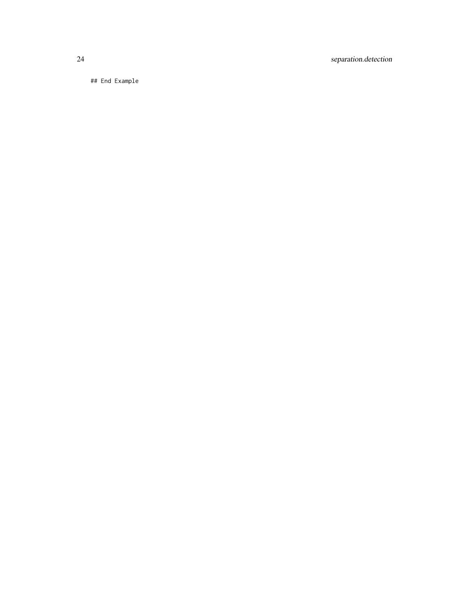24 separation.detection

## End Example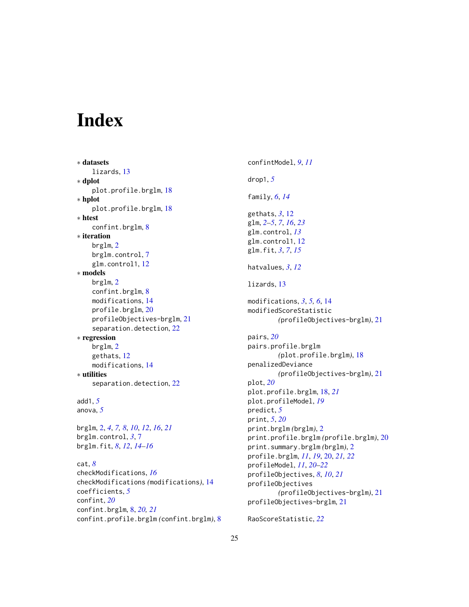# <span id="page-24-0"></span>Index

```
∗ datasets
    lizards, 13
∗ dplot
    plot.profile.brglm, 18
∗ hplot
    plot.profile.brglm, 18
∗ htest
    confint.brglm, 8
∗ iteration
   brglm, 2
   brglm.control, 7
    glm.control1, 12
∗ models
   brglm, 2
    confint.brglm, 8
    modifications, 14
    profile.brglm, 20
    profileObjectives-brglm, 21
    22
∗ regression
   brglm, 2
    gethats, 12
    modifications, 14
∗ utilities
    22
add1, 5
anova, 5
```

```
brglm, 2, 4, 7, 8, 10, 12, 16, 21
brglm.control, 3, 7
brglm.fit, 8, 12, 14–16
```

```
cat, 8
checkModifications, 16
checkModifications (modifications), 14
coefficients, 5
confint, 20
confint.brglm, 8, 20, 21
confint.profile.brglm (confint.brglm), 8
```
confintModel, *[9](#page-8-0)*, *[11](#page-10-0)* drop1, *[5](#page-4-0)* family, *[6](#page-5-0)*, *[14](#page-13-0)* gethats, *[3](#page-2-0)*, [12](#page-11-0) glm, *[2–](#page-1-0)[5](#page-4-0)*, *[7](#page-6-0)*, *[16](#page-15-0)*, *[23](#page-22-0)* glm.control, *[13](#page-12-0)* glm.control1, [12](#page-11-0) glm.fit, *[3](#page-2-0)*, *[7](#page-6-0)*, *[15](#page-14-0)* hatvalues, *[3](#page-2-0)*, *[12](#page-11-0)* lizards, [13](#page-12-0) modifications, *[3](#page-2-0)*, *[5,](#page-4-0) [6](#page-5-0)*, [14](#page-13-0) modifiedScoreStatistic *(*profileObjectives-brglm*)*, [21](#page-20-0) pairs, *[20](#page-19-0)* pairs.profile.brglm *(*plot.profile.brglm*)*, [18](#page-17-0) penalizedDeviance *(*profileObjectives-brglm*)*, [21](#page-20-0) plot, *[20](#page-19-0)* plot.profile.brglm, [18,](#page-17-0) *[21](#page-20-0)* plot.profileModel, *[19](#page-18-0)* predict, *[5](#page-4-0)* print, *[5](#page-4-0)*, *[20](#page-19-0)* print.brglm *(*brglm*)*, [2](#page-1-0) print.profile.brglm *(*profile.brglm*)*, [20](#page-19-0) print.summary.brglm *(*brglm*)*, [2](#page-1-0) profile.brglm, *[11](#page-10-0)*, *[19](#page-18-0)*, [20,](#page-19-0) *[21,](#page-20-0) [22](#page-21-0)* profileModel, *[11](#page-10-0)*, *[20](#page-19-0)[–22](#page-21-0)* profileObjectives, *[8](#page-7-0)*, *[10](#page-9-0)*, *[21](#page-20-0)* profileObjectives *(*profileObjectives-brglm*)*, [21](#page-20-0) profileObjectives-brglm, [21](#page-20-0)

RaoScoreStatistic, *[22](#page-21-0)*